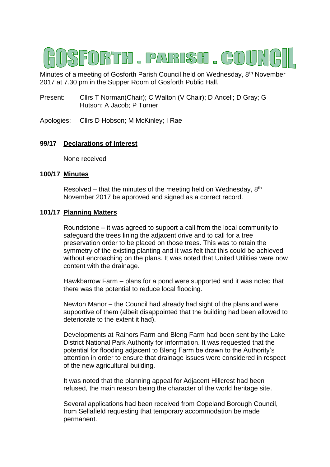# FORTH . PARISH . GOU

Minutes of a meeting of Gosforth Parish Council held on Wednesday, 8th November 2017 at 7.30 pm in the Supper Room of Gosforth Public Hall.

- Present: Cllrs T Norman(Chair); C Walton (V Chair); D Ancell; D Gray; G Hutson; A Jacob; P Turner
- Apologies: Cllrs D Hobson; M McKinley; I Rae

# **99/17 Declarations of Interest**

None received

# **100/17 Minutes**

Resolved – that the minutes of the meeting held on Wednesday,  $8<sup>th</sup>$ November 2017 be approved and signed as a correct record.

## **101/17 Planning Matters**

Roundstone – it was agreed to support a call from the local community to safeguard the trees lining the adjacent drive and to call for a tree preservation order to be placed on those trees. This was to retain the symmetry of the existing planting and it was felt that this could be achieved without encroaching on the plans. It was noted that United Utilities were now content with the drainage.

Hawkbarrow Farm – plans for a pond were supported and it was noted that there was the potential to reduce local flooding.

Newton Manor – the Council had already had sight of the plans and were supportive of them (albeit disappointed that the building had been allowed to deteriorate to the extent it had).

Developments at Rainors Farm and Bleng Farm had been sent by the Lake District National Park Authority for information. It was requested that the potential for flooding adjacent to Bleng Farm be drawn to the Authority's attention in order to ensure that drainage issues were considered in respect of the new agricultural building.

It was noted that the planning appeal for Adjacent Hillcrest had been refused, the main reason being the character of the world heritage site.

Several applications had been received from Copeland Borough Council, from Sellafield requesting that temporary accommodation be made permanent.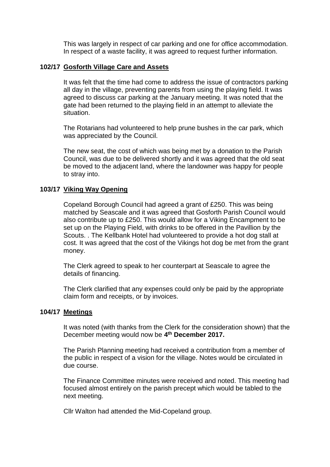This was largely in respect of car parking and one for office accommodation. In respect of a waste facility, it was agreed to request further information.

#### **102/17 Gosforth Village Care and Assets**

It was felt that the time had come to address the issue of contractors parking all day in the village, preventing parents from using the playing field. It was agreed to discuss car parking at the January meeting. It was noted that the gate had been returned to the playing field in an attempt to alleviate the situation.

The Rotarians had volunteered to help prune bushes in the car park, which was appreciated by the Council.

The new seat, the cost of which was being met by a donation to the Parish Council, was due to be delivered shortly and it was agreed that the old seat be moved to the adjacent land, where the landowner was happy for people to stray into.

## **103/17 Viking Way Opening**

Copeland Borough Council had agreed a grant of £250. This was being matched by Seascale and it was agreed that Gosforth Parish Council would also contribute up to £250. This would allow for a Viking Encampment to be set up on the Playing Field, with drinks to be offered in the Pavillion by the Scouts. . The Kellbank Hotel had volunteered to provide a hot dog stall at cost. It was agreed that the cost of the Vikings hot dog be met from the grant money.

The Clerk agreed to speak to her counterpart at Seascale to agree the details of financing.

The Clerk clarified that any expenses could only be paid by the appropriate claim form and receipts, or by invoices.

#### **104/17 Meetings**

It was noted (with thanks from the Clerk for the consideration shown) that the December meeting would now be **4 th December 2017.**

The Parish Planning meeting had received a contribution from a member of the public in respect of a vision for the village. Notes would be circulated in due course.

The Finance Committee minutes were received and noted. This meeting had focused almost entirely on the parish precept which would be tabled to the next meeting.

Cllr Walton had attended the Mid-Copeland group.